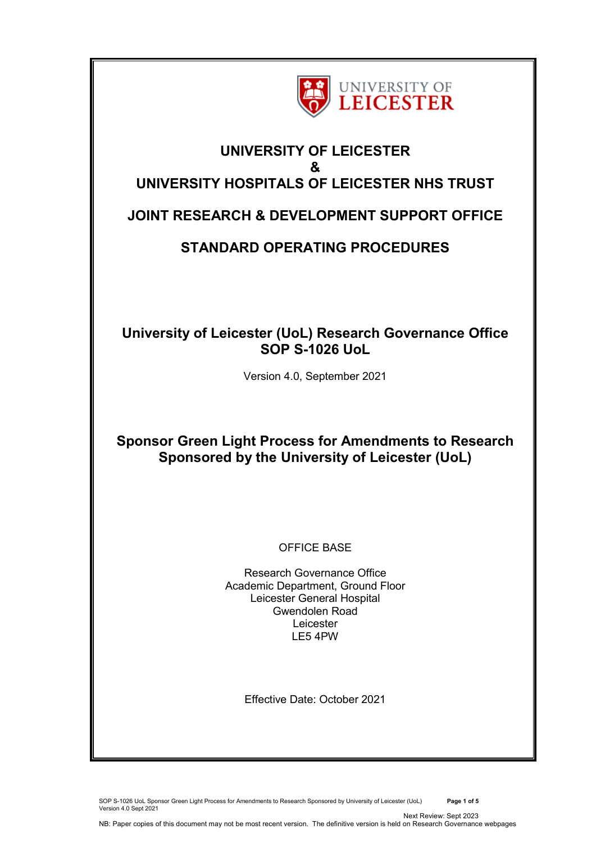

# **UNIVERSITY OF LEICESTER & UNIVERSITY HOSPITALS OF LEICESTER NHS TRUST**

## **JOINT RESEARCH & DEVELOPMENT SUPPORT OFFICE**

# **STANDARD OPERATING PROCEDURES**

## **University of Leicester (UoL) Research Governance Office SOP S-1026 UoL**

Version 4.0, September 2021

# **Sponsor Green Light Process for Amendments to Research Sponsored by the University of Leicester (UoL)**

## OFFICE BASE

Research Governance Office Academic Department, Ground Floor Leicester General Hospital Gwendolen Road Leicester LE5 4PW

Effective Date: October 2021

SOP S-1026 UoL Sponsor Green Light Process for Amendments to Research Sponsored by University of Leicester (UoL) **Page 1 of 5** Version 4.0 Sept 2021 Next Review: Sept 2023

NB: Paper copies of this document may not be most recent version. The definitive version is held on Research Governance webpages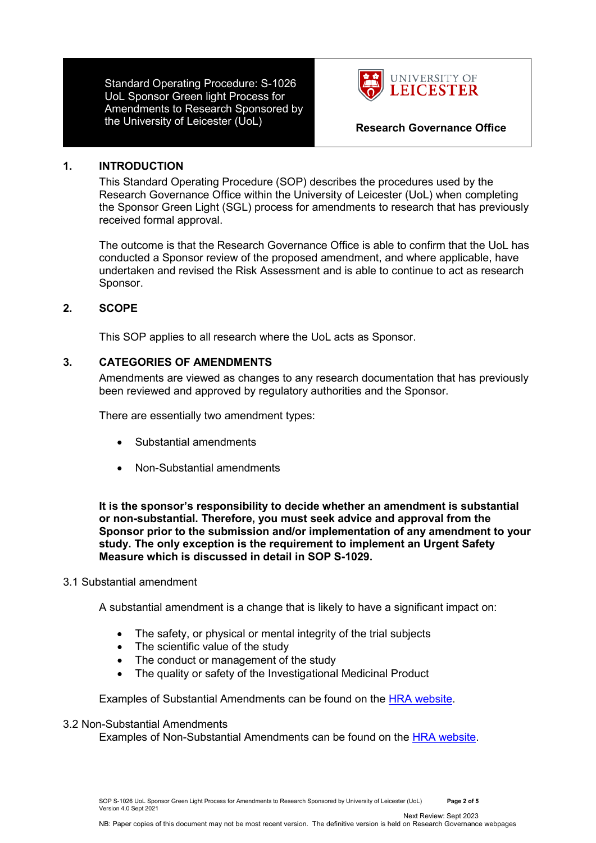Standard Operating Procedure: S-1026 UoL Sponsor Green light Process for Amendments to Research Sponsored by the University of Leicester (UoL) **Research Governance Office**



#### **1. INTRODUCTION**

This Standard Operating Procedure (SOP) describes the procedures used by the Research Governance Office within the University of Leicester (UoL) when completing the Sponsor Green Light (SGL) process for amendments to research that has previously received formal approval.

The outcome is that the Research Governance Office is able to confirm that the UoL has conducted a Sponsor review of the proposed amendment, and where applicable, have undertaken and revised the Risk Assessment and is able to continue to act as research Sponsor.

### **2. SCOPE**

This SOP applies to all research where the UoL acts as Sponsor.

### **3. CATEGORIES OF AMENDMENTS**

Amendments are viewed as changes to any research documentation that has previously been reviewed and approved by regulatory authorities and the Sponsor.

There are essentially two amendment types:

- Substantial amendments
- Non-Substantial amendments

**It is the sponsor's responsibility to decide whether an amendment is substantial or non-substantial. Therefore, you must seek advice and approval from the Sponsor prior to the submission and/or implementation of any amendment to your study. The only exception is the requirement to implement an Urgent Safety Measure which is discussed in detail in SOP S-1029.** 

#### 3.1 Substantial amendment

A substantial amendment is a change that is likely to have a significant impact on:

- The safety, or physical or mental integrity of the trial subjects
- The scientific value of the study
- The conduct or management of the study
- The quality or safety of the Investigational Medicinal Product

Examples of Substantial Amendments can be found on the [HRA website.](https://www.hra.nhs.uk/approvals-amendments/amending-approval/examples-of-substantial-and-non-substantial-amendments/)

#### 3.2 Non-Substantial Amendments

Examples of Non-Substantial Amendments can be found on the [HRA website.](https://www.hra.nhs.uk/approvals-amendments/amending-approval/examples-of-substantial-and-non-substantial-amendments/)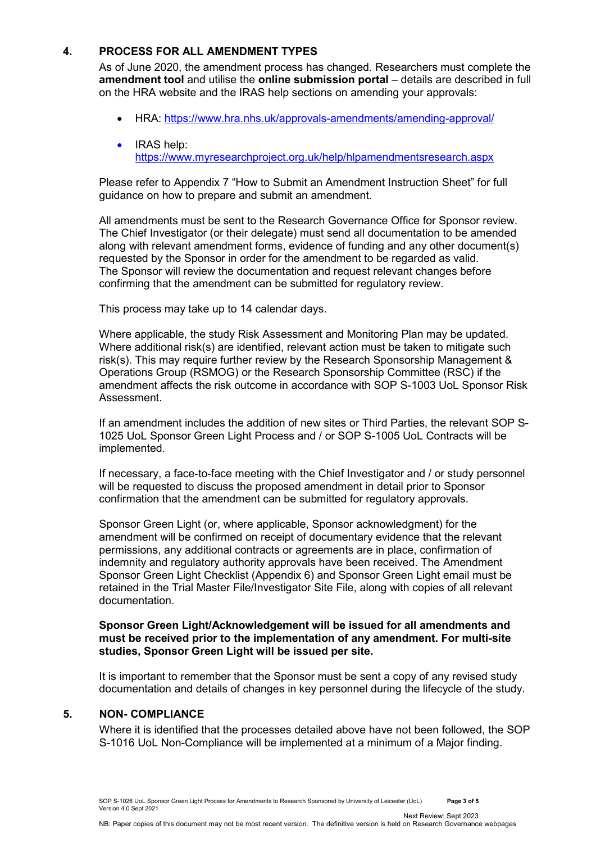### **4. PROCESS FOR ALL AMENDMENT TYPES**

As of June 2020, the amendment process has changed. Researchers must complete the **amendment tool** and utilise the **online submission portal** – details are described in full on the HRA website and the IRAS help sections on amending your approvals:

- HRA: [https://www.hra.nhs.uk/approvals-amendments/amending-approval/](https://eur03.safelinks.protection.outlook.com/?url=https%3A%2F%2Fwww.hra.nhs.uk%2Fapprovals-amendments%2Famending-approval%2F&data=04%7C01%7Ccat.taylor%40leicester.ac.uk%7Cdc27abaa00f3490d602c08d8c44e5272%7Caebecd6a31d44b0195ce8274afe853d9%7C0%7C0%7C637475187949880992%7CUnknown%7CTWFpbGZsb3d8eyJWIjoiMC4wLjAwMDAiLCJQIjoiV2luMzIiLCJBTiI6Ik1haWwiLCJXVCI6Mn0%3D%7C1000&sdata=NewoKfCQhnTudVb6SOuCWKFMKlrOUaiYzZH%2FNK5ybQw%3D&reserved=0)
- IRAS help: [https://www.myresearchproject.org.uk/help/hlpamendmentsresearch.aspx](https://eur03.safelinks.protection.outlook.com/?url=https%3A%2F%2Fwww.myresearchproject.org.uk%2Fhelp%2Fhlpamendmentsresearch.aspx&data=04%7C01%7Ccat.taylor%40leicester.ac.uk%7Cdc27abaa00f3490d602c08d8c44e5272%7Caebecd6a31d44b0195ce8274afe853d9%7C0%7C0%7C637475187949880992%7CUnknown%7CTWFpbGZsb3d8eyJWIjoiMC4wLjAwMDAiLCJQIjoiV2luMzIiLCJBTiI6Ik1haWwiLCJXVCI6Mn0%3D%7C1000&sdata=9Co851iymqD4T7oeXrJNxPcKfr4wr6jN4oZ4kuiKFSc%3D&reserved=0)

Please refer to Appendix 7 "How to Submit an Amendment Instruction Sheet" for full guidance on how to prepare and submit an amendment.

All amendments must be sent to the Research Governance Office for Sponsor review. The Chief Investigator (or their delegate) must send all documentation to be amended along with relevant amendment forms, evidence of funding and any other document(s) requested by the Sponsor in order for the amendment to be regarded as valid. The Sponsor will review the documentation and request relevant changes before confirming that the amendment can be submitted for regulatory review.

This process may take up to 14 calendar days.

Where applicable, the study Risk Assessment and Monitoring Plan may be updated. Where additional risk(s) are identified, relevant action must be taken to mitigate such risk(s). This may require further review by the Research Sponsorship Management & Operations Group (RSMOG) or the Research Sponsorship Committee (RSC) if the amendment affects the risk outcome in accordance with SOP S-1003 UoL Sponsor Risk Assessment.

If an amendment includes the addition of new sites or Third Parties, the relevant SOP S-1025 UoL Sponsor Green Light Process and / or SOP S-1005 UoL Contracts will be implemented.

If necessary, a face-to-face meeting with the Chief Investigator and / or study personnel will be requested to discuss the proposed amendment in detail prior to Sponsor confirmation that the amendment can be submitted for regulatory approvals.

Sponsor Green Light (or, where applicable, Sponsor acknowledgment) for the amendment will be confirmed on receipt of documentary evidence that the relevant permissions, any additional contracts or agreements are in place, confirmation of indemnity and regulatory authority approvals have been received. The Amendment Sponsor Green Light Checklist (Appendix 6) and Sponsor Green Light email must be retained in the Trial Master File/Investigator Site File, along with copies of all relevant documentation.

**Sponsor Green Light/Acknowledgement will be issued for all amendments and must be received prior to the implementation of any amendment. For multi-site studies, Sponsor Green Light will be issued per site.** 

It is important to remember that the Sponsor must be sent a copy of any revised study documentation and details of changes in key personnel during the lifecycle of the study.

#### **5. NON- COMPLIANCE**

Where it is identified that the processes detailed above have not been followed, the SOP S-1016 UoL Non-Compliance will be implemented at a minimum of a Major finding.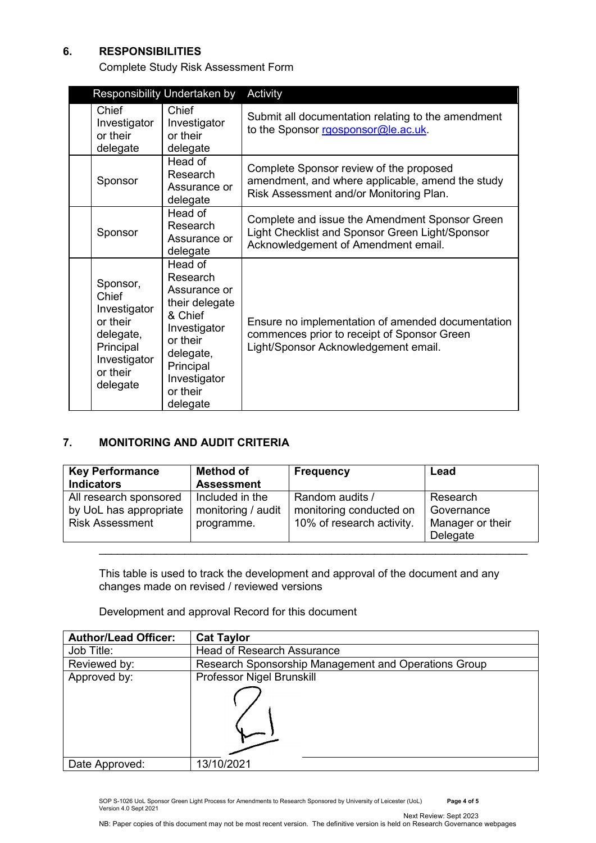### **6. RESPONSIBILITIES**

Complete Study Risk Assessment Form

| Responsibility Undertaken by                                                                                    |                                                                                                                                                                | Activity                                                                                                                                 |  |
|-----------------------------------------------------------------------------------------------------------------|----------------------------------------------------------------------------------------------------------------------------------------------------------------|------------------------------------------------------------------------------------------------------------------------------------------|--|
| Chief<br>Investigator<br>or their<br>delegate                                                                   | Chief<br>Investigator<br>or their<br>delegate                                                                                                                  | Submit all documentation relating to the amendment<br>to the Sponsor rgosponsor@le.ac.uk.                                                |  |
| Sponsor                                                                                                         | Head of<br>Research<br>Assurance or<br>delegate                                                                                                                | Complete Sponsor review of the proposed<br>amendment, and where applicable, amend the study<br>Risk Assessment and/or Monitoring Plan.   |  |
| Sponsor                                                                                                         | Head of<br>Research<br>Assurance or<br>delegate                                                                                                                | Complete and issue the Amendment Sponsor Green<br>Light Checklist and Sponsor Green Light/Sponsor<br>Acknowledgement of Amendment email. |  |
| Sponsor,<br>Chief<br>Investigator<br>or their<br>delegate,<br>Principal<br>Investigator<br>or their<br>delegate | Head of<br>Research<br>Assurance or<br>their delegate<br>& Chief<br>Investigator<br>or their<br>delegate,<br>Principal<br>Investigator<br>or their<br>delegate | Ensure no implementation of amended documentation<br>commences prior to receipt of Sponsor Green<br>Light/Sponsor Acknowledgement email. |  |

### **7. MONITORING AND AUDIT CRITERIA**

| <b>Key Performance</b><br><b>Indicators</b>                                | <b>Method of</b><br><b>Assessment</b>               | <b>Frequency</b>                                                        | Lead                                                   |
|----------------------------------------------------------------------------|-----------------------------------------------------|-------------------------------------------------------------------------|--------------------------------------------------------|
| All research sponsored<br>by UoL has appropriate<br><b>Risk Assessment</b> | Included in the<br>monitoring / audit<br>programme. | Random audits /<br>monitoring conducted on<br>10% of research activity. | Research<br>Governance<br>Manager or their<br>Delegate |

This table is used to track the development and approval of the document and any changes made on revised / reviewed versions

Development and approval Record for this document

| <b>Author/Lead Officer:</b> | <b>Cat Taylor</b>                                    |
|-----------------------------|------------------------------------------------------|
| Job Title:                  | <b>Head of Research Assurance</b>                    |
| Reviewed by:                | Research Sponsorship Management and Operations Group |
| Approved by:                | Professor Nigel Brunskill                            |
|                             |                                                      |
| Date Approved:              | 13/10/2021                                           |

SOP S-1026 UoL Sponsor Green Light Process for Amendments to Research Sponsored by University of Leicester (UoL) **Page 4 of 5** Version 4.0 Sept 2021 Next Review: Sept 2023

NB: Paper copies of this document may not be most recent version. The definitive version is held on Research Governance webpages